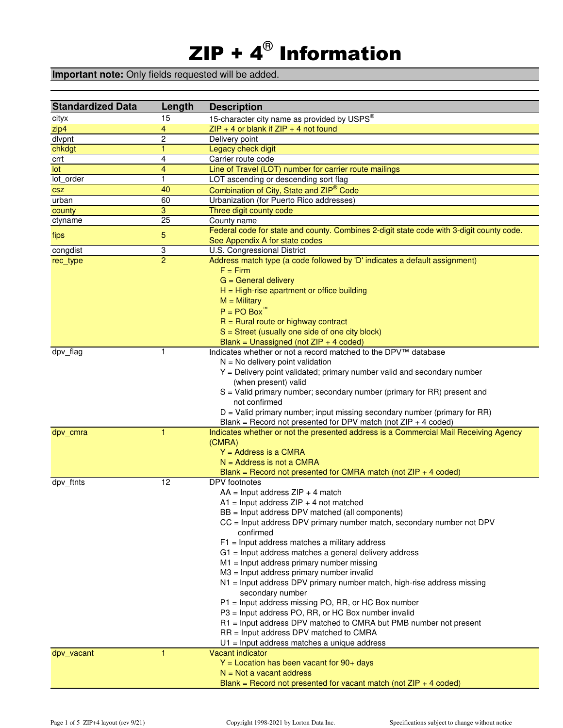# ZIP +  $\textbf{4}^{\textcircled{\tiny 8}}$  Information

### **Important note:** Only fields requested will be added.

| <b>Standardized Data</b> | Length          | <b>Description</b>                                                                                         |
|--------------------------|-----------------|------------------------------------------------------------------------------------------------------------|
| cityx                    | 15              | 15-character city name as provided by USPS®                                                                |
| zip4                     | 4               | $ZIP + 4$ or blank if $ZIP + 4$ not found                                                                  |
| dlvpnt                   | $\overline{c}$  | Delivery point                                                                                             |
| chkdgt                   | 1               | Legacy check digit                                                                                         |
| crrt                     | 4               | Carrier route code                                                                                         |
| lot                      | 4               | Line of Travel (LOT) number for carrier route mailings                                                     |
| lot order                | 1               | LOT ascending or descending sort flag                                                                      |
| <b>CSZ</b>               | 40              | Combination of City, State and ZIP <sup>®</sup> Code                                                       |
| urban                    | 60              | Urbanization (for Puerto Rico addresses)                                                                   |
| county                   | 3               | Three digit county code                                                                                    |
| ctyname                  | $\overline{25}$ | County name<br>Federal code for state and county. Combines 2-digit state code with 3-digit county code.    |
| fips                     | 5               | See Appendix A for state codes                                                                             |
| congdist                 | 3               | U.S. Congressional District                                                                                |
| rec_type                 | $\overline{2}$  | Address match type (a code followed by 'D' indicates a default assignment)                                 |
|                          |                 | $F = Firm$                                                                                                 |
|                          |                 | $G =$ General delivery                                                                                     |
|                          |                 | $H = High\text{-rise}$ apartment or office building                                                        |
|                          |                 | $M =$ Military                                                                                             |
|                          |                 | $P = PO Box$                                                                                               |
|                          |                 | $R =$ Rural route or highway contract                                                                      |
|                          |                 | $S =$ Street (usually one side of one city block)                                                          |
|                          | 1               | Blank = Unassigned (not $ZIP + 4$ coded)<br>Indicates whether or not a record matched to the DPV™ database |
| dpv_flag                 |                 | $N = No$ delivery point validation                                                                         |
|                          |                 | Y = Delivery point validated; primary number valid and secondary number                                    |
|                          |                 | (when present) valid                                                                                       |
|                          |                 | S = Valid primary number; secondary number (primary for RR) present and                                    |
|                          |                 | not confirmed                                                                                              |
|                          |                 | $D =$ Valid primary number; input missing secondary number (primary for RR)                                |
|                          |                 | Blank = Record not presented for DPV match (not $ZIP + 4$ coded)                                           |
| dpv_cmra                 | 1               | Indicates whether or not the presented address is a Commercial Mail Receiving Agency                       |
|                          |                 | (CMRA)                                                                                                     |
|                          |                 | $Y = Address$ is a CMRA                                                                                    |
|                          |                 | $N =$ Address is not a CMRA                                                                                |
|                          |                 | Blank = Record not presented for CMRA match (not $ZIP + 4$ coded)                                          |
| dpv_ftnts                | 12              | DPV footnotes<br>$AA = Input$ address $ZIP + 4$ match                                                      |
|                          |                 | $A1$ = Input address ZIP + 4 not matched                                                                   |
|                          |                 | BB = Input address DPV matched (all components)                                                            |
|                          |                 | CC = Input address DPV primary number match, secondary number not DPV                                      |
|                          |                 | confirmed                                                                                                  |
|                          |                 | $F1$ = Input address matches a military address                                                            |
|                          |                 | G1 = Input address matches a general delivery address                                                      |
|                          |                 | $M1$ = Input address primary number missing                                                                |
|                          |                 | M3 = Input address primary number invalid                                                                  |
|                          |                 | N1 = Input address DPV primary number match, high-rise address missing                                     |
|                          |                 | secondary number                                                                                           |
|                          |                 | P1 = Input address missing PO, RR, or HC Box number                                                        |
|                          |                 | P3 = Input address PO, RR, or HC Box number invalid                                                        |
|                          |                 | R1 = Input address DPV matched to CMRA but PMB number not present                                          |
|                          |                 | RR = Input address DPV matched to CMRA                                                                     |
| dpv_vacant               | 1               | U1 = Input address matches a unique address<br>Vacant indicator                                            |
|                          |                 | $Y =$ Location has been vacant for 90+ days                                                                |
|                          |                 | $N = Not$ a vacant address                                                                                 |
|                          |                 | Blank = Record not presented for vacant match (not $ZIP + 4$ coded)                                        |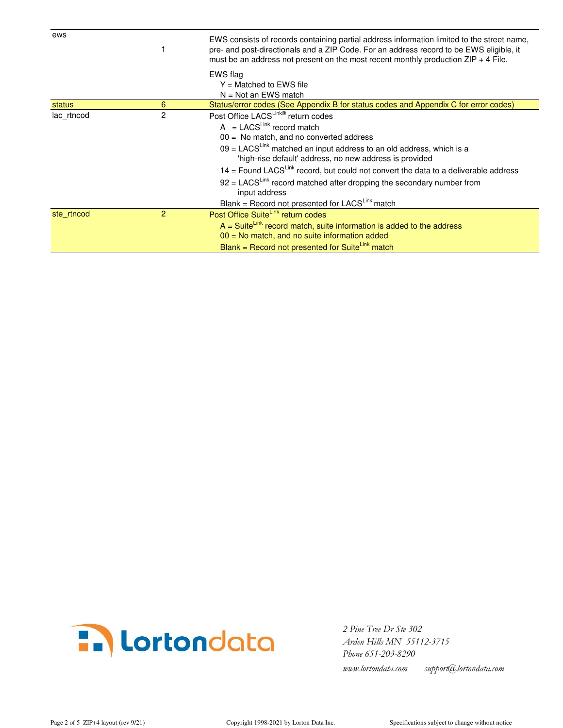| ews        |   | EWS consists of records containing partial address information limited to the street name,<br>pre- and post-directionals and a ZIP Code. For an address record to be EWS eligible, it<br>must be an address not present on the most recent monthly production $ZIP + 4$ File.                                                                                                                                                                                                                                                                     |
|------------|---|---------------------------------------------------------------------------------------------------------------------------------------------------------------------------------------------------------------------------------------------------------------------------------------------------------------------------------------------------------------------------------------------------------------------------------------------------------------------------------------------------------------------------------------------------|
|            |   | EWS flag<br>$Y =$ Matched to EWS file<br>$N = Not$ an EWS match                                                                                                                                                                                                                                                                                                                                                                                                                                                                                   |
| status     | 6 | Status/error codes (See Appendix B for status codes and Appendix C for error codes)                                                                                                                                                                                                                                                                                                                                                                                                                                                               |
| lac rtncod | 2 | Post Office LACS <sup>Link®</sup> return codes<br>$A = LACS^{Link}$ record match<br>$00 =$ No match, and no converted address<br>$09 = LACS^{Link}$ matched an input address to an old address, which is a<br>'high-rise default' address, no new address is provided<br>$14$ = Found LACS <sup>Link</sup> record, but could not convert the data to a deliverable address<br>$92$ = LACS <sup>Link</sup> record matched after dropping the secondary number from<br>input address<br>Blank = Record not presented for LACS <sup>Link</sup> match |
| ste rtncod | 2 | Post Office SuiteLink return codes<br>$A =$ Suite <sup>Link</sup> record match, suite information is added to the address<br>$00$ = No match, and no suite information added<br>Blank = Record not presented for SuiteLink match                                                                                                                                                                                                                                                                                                                  |



 *Arden Hills MN 55112-3715 Phone 651-203-8290 www.lortondata.com support@lortondata.com*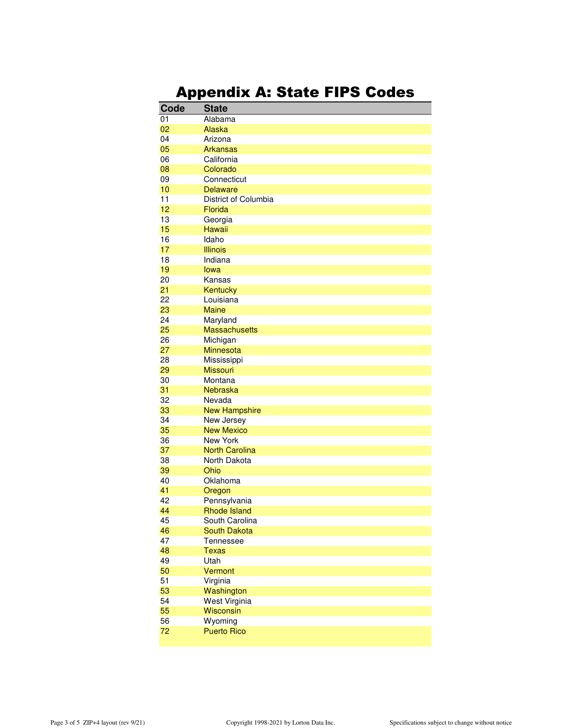## Appendix A: State FIPS Codes

| Code | <b>State</b>          |
|------|-----------------------|
| 01   | Alabama               |
| 02   | Alaska                |
| 04   | Arizona               |
| 05   | <b>Arkansas</b>       |
| 06   | California            |
| 08   | Colorado              |
| 09   | Connecticut           |
| 10   | <b>Delaware</b>       |
| 11   | District of Columbia  |
| 12   | Florida               |
| 13   | Georgia               |
| 15   | <b>Hawaii</b>         |
| 16   | Idaho                 |
| 17   | <b>Illinois</b>       |
| 18   | Indiana               |
| 19   | lowa                  |
| 20   | Kansas                |
| 21   | Kentucky              |
| 22   | Louisiana             |
| 23   | <b>Maine</b>          |
| 24   | Maryland              |
| 25   | <b>Massachusetts</b>  |
| 26   | Michigan              |
| 27   | Minnesota             |
| 28   | Mississippi           |
| 29   | <b>Missouri</b>       |
| 30   | Montana               |
| 31   | Nebraska              |
| 32   | Nevada                |
| 33   | <b>New Hampshire</b>  |
| 34   | New Jersey            |
| 35   | <b>New Mexico</b>     |
| 36   | New York              |
| 37   | <b>North Carolina</b> |
| 38   | North Dakota          |
| 39   | Ohio                  |
| 40   | Oklahoma              |
| 41   | Oregon                |
| 42   | Pennsylvania          |
| 44   | <b>Rhode Island</b>   |
| 45   | South Carolina        |
| 46   | <b>South Dakota</b>   |
| 47   | Tennessee             |
| 48   | <b>Texas</b>          |
| 49   | Utah                  |
| 50   | Vermont               |
| 51   | Virginia              |
| 53   | Washington            |
| 54   | West Virginia         |
| 55   | <b>Wisconsin</b>      |
| 56   | Wyoming               |
| 72   | <b>Puerto Rico</b>    |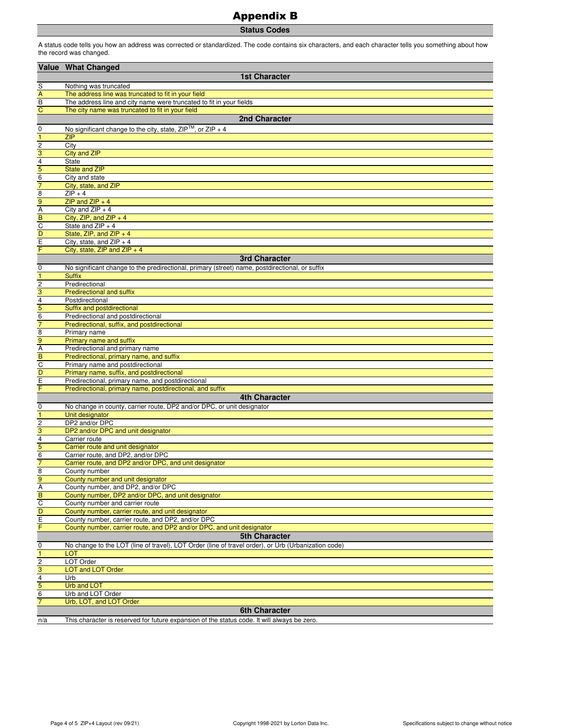### Appendix B

**Status Codes**

A status code tells you how an address was corrected or standardized. The code contains six characters, and each character tells you something about how the record was changed.

|                                           | Value What Changed                                                                                              |
|-------------------------------------------|-----------------------------------------------------------------------------------------------------------------|
|                                           | <b>1st Character</b>                                                                                            |
| S                                         | Nothing was truncated                                                                                           |
| $\overline{A}$                            | The address line was truncated to fit in your field                                                             |
| $\overline{B}$                            | The address line and city name were truncated to fit in your fields                                             |
| $\overline{C}$                            | The city name was truncated to fit in your field                                                                |
|                                           | 2nd Character                                                                                                   |
| $\mathbf 0$                               | No significant change to the city, state, $ZIP^{TM}$ , or $ZIP + 4$                                             |
| $\overline{1}$                            | <b>ZIP</b>                                                                                                      |
| $\overline{2}$                            | City                                                                                                            |
| $\overline{3}$                            | <b>City and ZIP</b>                                                                                             |
|                                           | <b>State</b>                                                                                                    |
| $\frac{4}{5}$                             | <b>State and ZIP</b>                                                                                            |
| $\overline{7}$                            | City and state<br>City, state, and ZIP                                                                          |
| $\overline{8}$                            | $ZIP + 4$                                                                                                       |
| 9                                         | $ZIP$ and $ZIP + 4$                                                                                             |
| $\frac{A}{B}$                             | City and $ZIP + 4$                                                                                              |
|                                           | City, ZIP, and ZIP $+4$                                                                                         |
| $\overline{c}$                            | State and $ZIP + 4$                                                                                             |
| D                                         | State, ZIP, and ZIP $+4$                                                                                        |
| $\overline{E}$<br>F                       | City, state, and $ZIP + 4$<br>City, state, ZIP and ZIP $+4$                                                     |
|                                           | 3rd Character                                                                                                   |
|                                           |                                                                                                                 |
| 0<br>$\overline{1}$                       | No significant change to the predirectional, primary (street) name, postdirectional, or suffix<br><b>Suffix</b> |
|                                           | Predirectional                                                                                                  |
| $\frac{2}{3}$ $\frac{4}{5}$ $\frac{5}{6}$ | <b>Predirectional and suffix</b>                                                                                |
|                                           | Postdirectional                                                                                                 |
|                                           | Suffix and postdirectional                                                                                      |
|                                           | Predirectional and postdirectional                                                                              |
| $\overline{7}$                            | Predirectional, suffix, and postdirectional                                                                     |
| $\overline{8}$                            | Primary name                                                                                                    |
| $\overline{9}$                            | Primary name and suffix                                                                                         |
| $\frac{\overline{A}}{B}$                  | Predirectional and primary name<br>Predirectional, primary name, and suffix                                     |
|                                           | Primary name and postdirectional                                                                                |
| D                                         | Primary name, suffix, and postdirectional                                                                       |
| $\overline{E}$                            | Predirectional, primary name, and postdirectional                                                               |
| F                                         | Predirectional, primary name, postdirectional, and suffix                                                       |
|                                           | 4th Character                                                                                                   |
| 0                                         | No change in county, carrier route, DP2 and/or DPC, or unit designator                                          |
| $\overline{1}$                            | Unit designator                                                                                                 |
| $\overline{\mathbf{c}}$                   | DP2 and/or DPC                                                                                                  |
| 3                                         | DP2 and/or DPC and unit designator                                                                              |
| 4<br>5                                    | Carrier route                                                                                                   |
| $\overline{6}$                            | Carrier route and unit designator<br>Carrier route, and DP2, and/or DPC                                         |
| $\overline{7}$                            | Carrier route, and DP2 and/or DPC, and unit designator                                                          |
| $\overline{8}$                            | County number                                                                                                   |
| 9                                         | County number and unit designator                                                                               |
| A                                         | County number, and DP2, and/or DPC                                                                              |
| $\overline{B}$                            | County number, DP2 and/or DPC, and unit designator                                                              |
| $\overline{c}$                            | County number and carrier route                                                                                 |
| $\overline{D}$                            | County number, carrier route, and unit designator                                                               |
| $\frac{E}{F}$                             | County number, carrier route, and DP2, and/or DPC                                                               |
|                                           | County number, carrier route, and DP2 and/or DPC, and unit designator<br><b>5th Character</b>                   |
|                                           | No change to the LOT (line of travel), LOT Order (line of travel order), or Urb (Urbanization code)             |
| 0<br>$\mathbf{1}$                         | <b>LOT</b>                                                                                                      |
| $\overline{c}$                            | LOT Order                                                                                                       |
| $\overline{3}$                            | <b>LOT and LOT Order</b>                                                                                        |
| $\overline{\mathbf{4}}$                   | Urb                                                                                                             |
| 5                                         | <b>Urb and LOT</b>                                                                                              |
| $\,6$                                     | Urb and LOT Order                                                                                               |
| $\overline{7}$                            | Urb, LOT, and LOT Order                                                                                         |
|                                           | <b>6th Character</b>                                                                                            |
| n/a                                       | This character is reserved for future expansion of the status code. It will always be zero.                     |